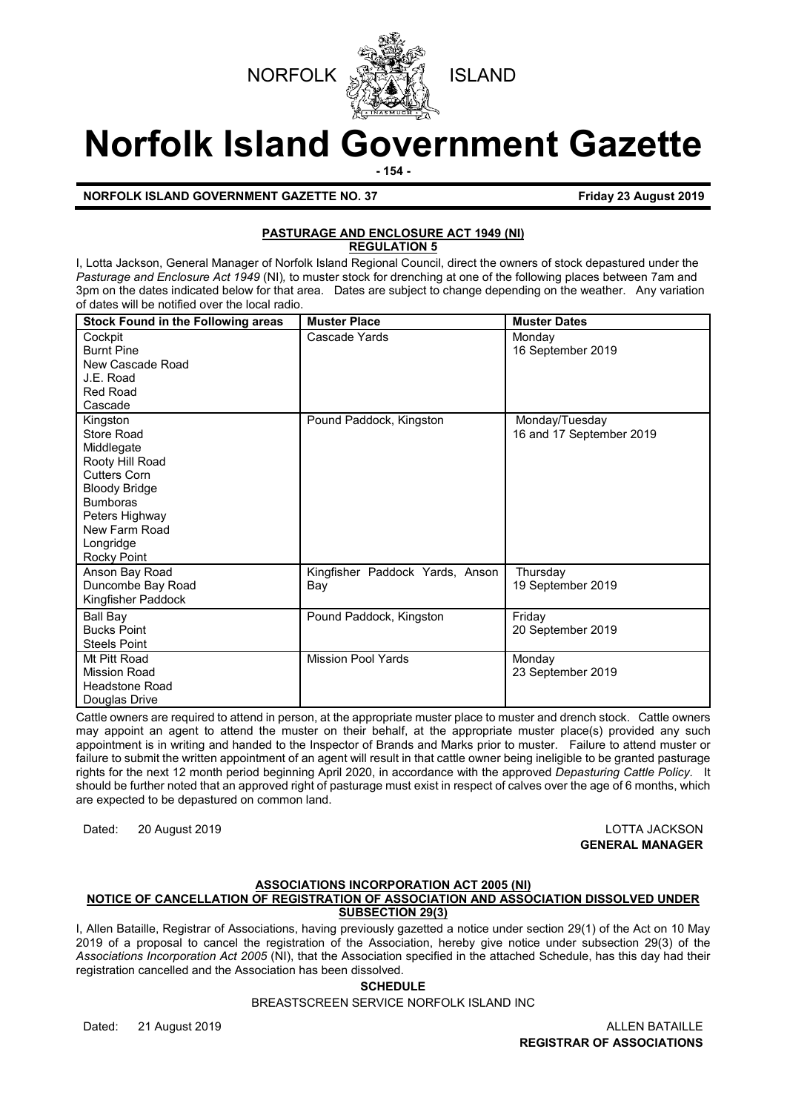



# **Norfolk Island Government Gazette**

**- 154 -**

**NORFOLK ISLAND GOVERNMENT GAZETTE NO. 37 Friday 23 August 2019** 

# **PASTURAGE AND ENCLOSURE ACT 1949 (NI) REGULATION 5**

I, Lotta Jackson, General Manager of Norfolk Island Regional Council, direct the owners of stock depastured under the *Pasturage and Enclosure Act 1949* (NI)*,* to muster stock for drenching at one of the following places between 7am and 3pm on the dates indicated below for that area. Dates are subject to change depending on the weather. Any variation of dates will be notified over the local radio.

| <b>Stock Found in the Following areas</b>                                                                                                                                         | <b>Muster Place</b>                    | <b>Muster Dates</b>                        |
|-----------------------------------------------------------------------------------------------------------------------------------------------------------------------------------|----------------------------------------|--------------------------------------------|
| Cockpit<br><b>Burnt Pine</b><br>New Cascade Road<br>J.E. Road<br><b>Red Road</b><br>Cascade                                                                                       | Cascade Yards                          | Monday<br>16 September 2019                |
| Kingston<br>Store Road<br>Middlegate<br>Rooty Hill Road<br><b>Cutters Corn</b><br>Bloody Bridge<br><b>Bumboras</b><br>Peters Highway<br>New Farm Road<br>Longridge<br>Rocky Point | Pound Paddock, Kingston                | Monday/Tuesday<br>16 and 17 September 2019 |
| Anson Bay Road<br>Duncombe Bay Road<br>Kingfisher Paddock                                                                                                                         | Kingfisher Paddock Yards, Anson<br>Bay | Thursday<br>19 September 2019              |
| Ball Bay<br><b>Bucks Point</b><br><b>Steels Point</b>                                                                                                                             | Pound Paddock, Kingston                | Friday<br>20 September 2019                |
| Mt Pitt Road<br>Mission Road<br><b>Headstone Road</b><br>Douglas Drive                                                                                                            | <b>Mission Pool Yards</b>              | Monday<br>23 September 2019                |

Cattle owners are required to attend in person, at the appropriate muster place to muster and drench stock. Cattle owners may appoint an agent to attend the muster on their behalf, at the appropriate muster place(s) provided any such appointment is in writing and handed to the Inspector of Brands and Marks prior to muster. Failure to attend muster or failure to submit the written appointment of an agent will result in that cattle owner being ineligible to be granted pasturage rights for the next 12 month period beginning April 2020, in accordance with the approved *Depasturing Cattle Policy.* It should be further noted that an approved right of pasturage must exist in respect of calves over the age of 6 months, which are expected to be depastured on common land.

Dated: 20 August 2019 LOTTA JACKSON

**GENERAL MANAGER**

#### **ASSOCIATIONS INCORPORATION ACT 2005 (NI) NOTICE OF CANCELLATION OF REGISTRATION OF ASSOCIATION AND ASSOCIATION DISSOLVED UNDER SUBSECTION 29(3)**

I, Allen Bataille, Registrar of Associations, having previously gazetted a notice under section 29(1) of the Act on 10 May 2019 of a proposal to cancel the registration of the Association, hereby give notice under subsection 29(3) of the *Associations Incorporation Act 2005* (NI), that the Association specified in the attached Schedule, has this day had their registration cancelled and the Association has been dissolved.

# **SCHEDULE**

BREASTSCREEN SERVICE NORFOLK ISLAND INC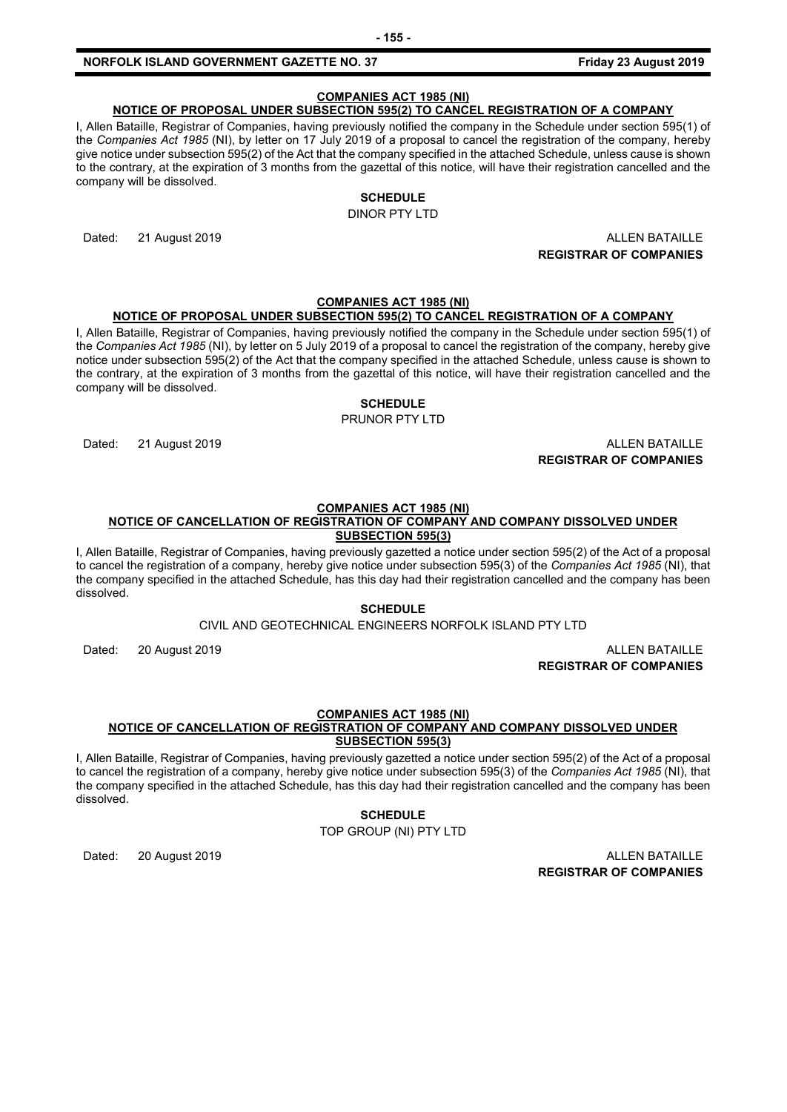#### **NORFOLK ISLAND GOVERNMENT GAZETTE NO. 37 Friday 23 August 2019**

# **COMPANIES ACT 1985 (NI)**

# **NOTICE OF PROPOSAL UNDER SUBSECTION 595(2) TO CANCEL REGISTRATION OF A COMPANY**

I, Allen Bataille, Registrar of Companies, having previously notified the company in the Schedule under section 595(1) of the *Companies Act 1985* (NI), by letter on 17 July 2019 of a proposal to cancel the registration of the company, hereby give notice under subsection 595(2) of the Act that the company specified in the attached Schedule, unless cause is shown to the contrary, at the expiration of 3 months from the gazettal of this notice, will have their registration cancelled and the company will be dissolved.

# **SCHEDULE**

DINOR PTY LTD

Dated: 21 August 2019 ALLEN BATAILLE **REGISTRAR OF COMPANIES**

# **COMPANIES ACT 1985 (NI)**

# **NOTICE OF PROPOSAL UNDER SUBSECTION 595(2) TO CANCEL REGISTRATION OF A COMPANY**

I, Allen Bataille, Registrar of Companies, having previously notified the company in the Schedule under section 595(1) of the *Companies Act 1985* (NI), by letter on 5 July 2019 of a proposal to cancel the registration of the company, hereby give notice under subsection 595(2) of the Act that the company specified in the attached Schedule, unless cause is shown to the contrary, at the expiration of 3 months from the gazettal of this notice, will have their registration cancelled and the company will be dissolved.

# **SCHEDULE**

PRUNOR PTY LTD

Dated: 21 August 2019 ALLEN BATAILLE

**REGISTRAR OF COMPANIES**

#### **COMPANIES ACT 1985 (NI)**

#### **NOTICE OF CANCELLATION OF REGISTRATION OF COMPANY AND COMPANY DISSOLVED UNDER SUBSECTION 595(3)**

I, Allen Bataille, Registrar of Companies, having previously gazetted a notice under section 595(2) of the Act of a proposal to cancel the registration of a company, hereby give notice under subsection 595(3) of the *Companies Act 1985* (NI), that the company specified in the attached Schedule, has this day had their registration cancelled and the company has been dissolved.

### **SCHEDULE**

CIVIL AND GEOTECHNICAL ENGINEERS NORFOLK ISLAND PTY LTD

Dated: 20 August 2019 ALLEN BATAILLE **REGISTRAR OF COMPANIES**

#### **COMPANIES ACT 1985 (NI)**

#### **NOTICE OF CANCELLATION OF REGISTRATION OF COMPANY AND COMPANY DISSOLVED UNDER SUBSECTION 595(3)**

I, Allen Bataille, Registrar of Companies, having previously gazetted a notice under section 595(2) of the Act of a proposal to cancel the registration of a company, hereby give notice under subsection 595(3) of the *Companies Act 1985* (NI), that the company specified in the attached Schedule, has this day had their registration cancelled and the company has been dissolved.

#### **SCHEDULE**

TOP GROUP (NI) PTY LTD

Dated: 20 August 2019 ALLEN BATAILLE **REGISTRAR OF COMPANIES**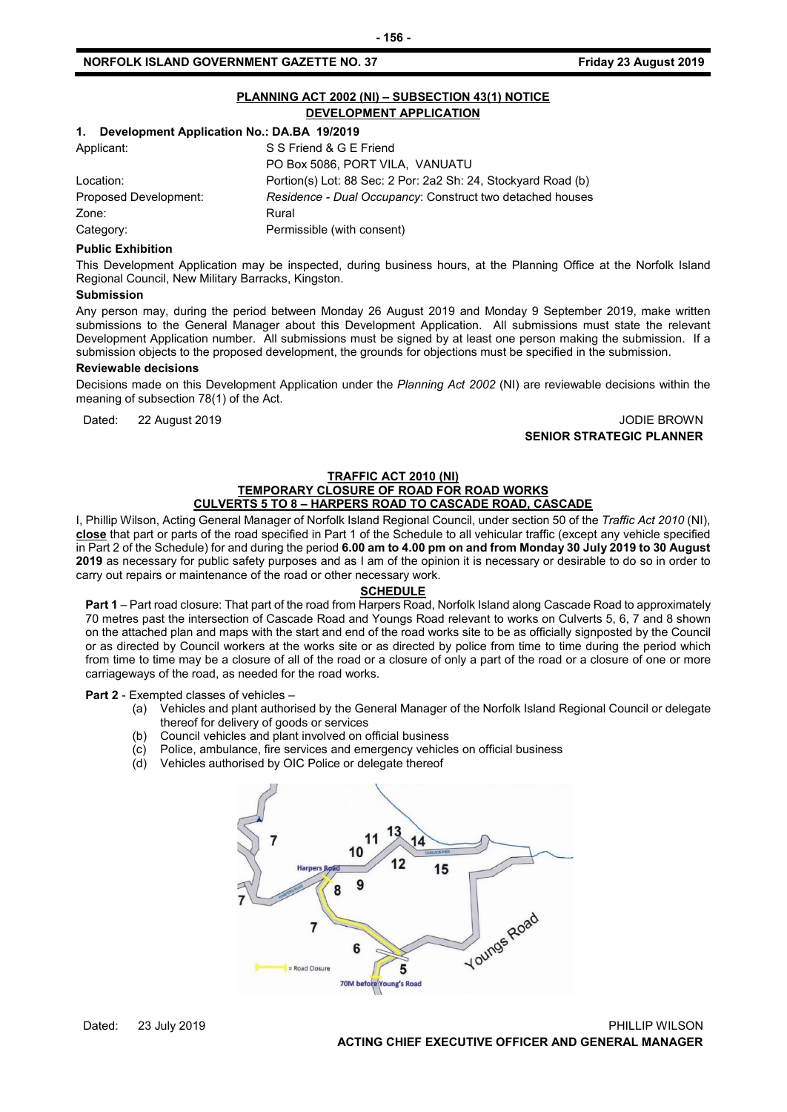# **NORFOLK ISLAND GOVERNMENT GAZETTE NO. 37 Friday 23 August 2019**

|                                                  | PLANNING ACT 2002 (NI) - SUBSECTION 43(1) NOTICE<br>DEVELOPMENT APPLICATION |  |
|--------------------------------------------------|-----------------------------------------------------------------------------|--|
| Development Application No.: DA.BA 19/2019<br>1. |                                                                             |  |
| Applicant:                                       | S S Friend & G E Friend                                                     |  |
|                                                  | PO Box 5086, PORT VILA, VANUATU                                             |  |
| Location:                                        | Portion(s) Lot: 88 Sec: 2 Por: 2a2 Sh: 24, Stockyard Road (b)               |  |
| Proposed Development:                            | Residence - Dual Occupancy: Construct two detached houses                   |  |
| Zone:                                            | Rural                                                                       |  |
| Category:                                        | Permissible (with consent)                                                  |  |

#### **Public Exhibition**

This Development Application may be inspected, during business hours, at the Planning Office at the Norfolk Island Regional Council, New Military Barracks, Kingston.

#### **Submission**

Any person may, during the period between Monday 26 August 2019 and Monday 9 September 2019, make written submissions to the General Manager about this Development Application. All submissions must state the relevant Development Application number. All submissions must be signed by at least one person making the submission. If a submission objects to the proposed development, the grounds for objections must be specified in the submission.

#### **Reviewable decisions**

Decisions made on this Development Application under the *Planning Act 2002* (NI) are reviewable decisions within the meaning of subsection 78(1) of the Act.

Dated: 22 August 2019 JODIE BROWN **SENIOR STRATEGIC PLANNER**

#### **TRAFFIC ACT 2010 (NI) TEMPORARY CLOSURE OF ROAD FOR ROAD WORKS CULVERTS 5 TO 8 – HARPERS ROAD TO CASCADE ROAD, CASCADE**

I, Phillip Wilson, Acting General Manager of Norfolk Island Regional Council, under section 50 of the *Traffic Act 2010* (NI), **close** that part or parts of the road specified in Part 1 of the Schedule to all vehicular traffic (except any vehicle specified in Part 2 of the Schedule) for and during the period **6.00 am to 4.00 pm on and from Monday 30 July 2019 to 30 August 2019** as necessary for public safety purposes and as I am of the opinion it is necessary or desirable to do so in order to carry out repairs or maintenance of the road or other necessary work.

#### **SCHEDULE**

**Part 1** – Part road closure: That part of the road from Harpers Road, Norfolk Island along Cascade Road to approximately 70 metres past the intersection of Cascade Road and Youngs Road relevant to works on Culverts 5, 6, 7 and 8 shown on the attached plan and maps with the start and end of the road works site to be as officially signposted by the Council or as directed by Council workers at the works site or as directed by police from time to time during the period which from time to time may be a closure of all of the road or a closure of only a part of the road or a closure of one or more carriageways of the road, as needed for the road works.

**Part 2** - Exempted classes of vehicles –

- (a) Vehicles and plant authorised by the General Manager of the Norfolk Island Regional Council or delegate thereof for delivery of goods or services
- (b) Council vehicles and plant involved on official business
- (c) Police, ambulance, fire services and emergency vehicles on official business
- (d) Vehicles authorised by OIC Police or delegate thereof

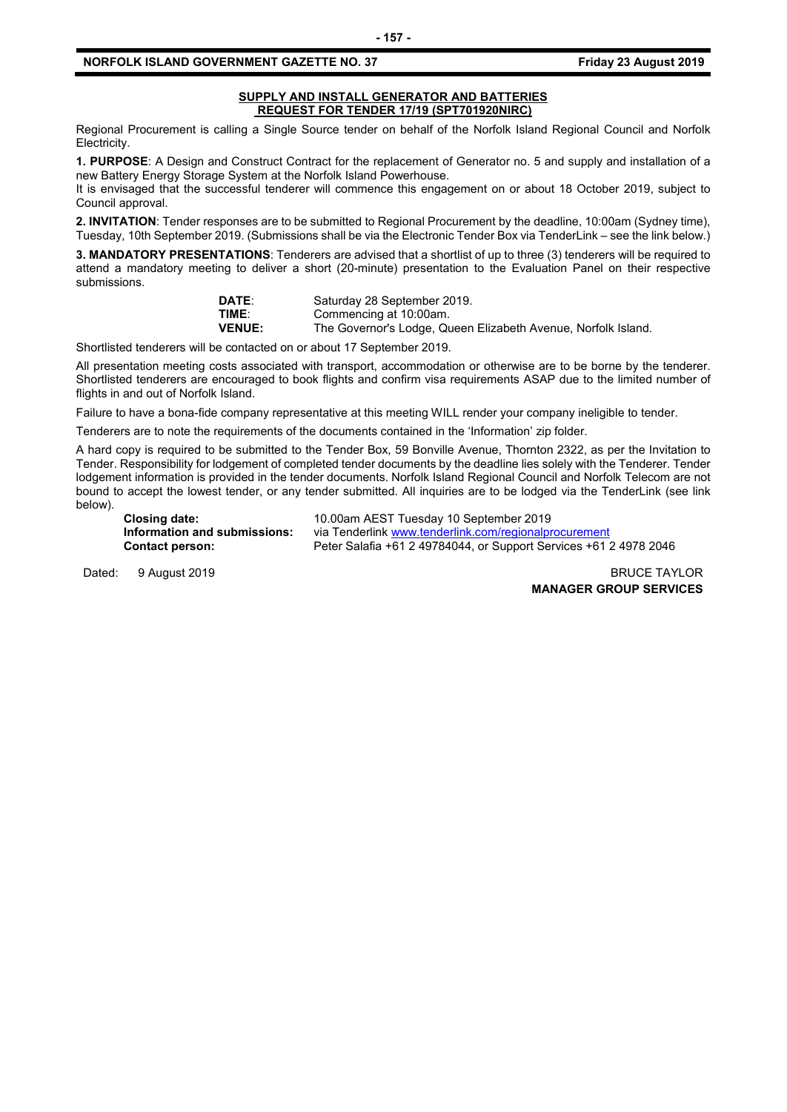### **NORFOLK ISLAND GOVERNMENT GAZETTE NO. 37 Friday 23 August 2019**

#### **SUPPLY AND INSTALL GENERATOR AND BATTERIES REQUEST FOR TENDER 17/19 (SPT701920NIRC)**

Regional Procurement is calling a Single Source tender on behalf of the Norfolk Island Regional Council and Norfolk Electricity.

**1. PURPOSE**: A Design and Construct Contract for the replacement of Generator no. 5 and supply and installation of a new Battery Energy Storage System at the Norfolk Island Powerhouse.

It is envisaged that the successful tenderer will commence this engagement on or about 18 October 2019, subject to Council approval.

**2. INVITATION**: Tender responses are to be submitted to Regional Procurement by the deadline, 10:00am (Sydney time), Tuesday, 10th September 2019. (Submissions shall be via the Electronic Tender Box via TenderLink – see the link below.)

**3. MANDATORY PRESENTATIONS**: Tenderers are advised that a shortlist of up to three (3) tenderers will be required to attend a mandatory meeting to deliver a short (20-minute) presentation to the Evaluation Panel on their respective submissions.

| <b>DATE:</b>  | Saturday 28 September 2019.                                   |
|---------------|---------------------------------------------------------------|
| TIME:         | Commencing at 10:00am.                                        |
| <b>VENUE:</b> | The Governor's Lodge, Queen Elizabeth Avenue, Norfolk Island. |

Shortlisted tenderers will be contacted on or about 17 September 2019.

All presentation meeting costs associated with transport, accommodation or otherwise are to be borne by the tenderer. Shortlisted tenderers are encouraged to book flights and confirm visa requirements ASAP due to the limited number of flights in and out of Norfolk Island.

Failure to have a bona-fide company representative at this meeting WILL render your company ineligible to tender.

Tenderers are to note the requirements of the documents contained in the 'Information' zip folder.

A hard copy is required to be submitted to the Tender Box, 59 Bonville Avenue, Thornton 2322, as per the Invitation to Tender. Responsibility for lodgement of completed tender documents by the deadline lies solely with the Tenderer. Tender lodgement information is provided in the tender documents. Norfolk Island Regional Council and Norfolk Telecom are not bound to accept the lowest tender, or any tender submitted. All inquiries are to be lodged via the TenderLink (see link below).

**Closing date:** 10.00am AEST Tuesday 10 September 2019 **Information and submissions:** via Tenderlink [www.tenderlink.com/regionalprocurement](http://www.tenderlink.com/regionalprocurement)<br>Contact person: Peter Salafia +61 2 49784044, or Support Services +61 2 **Contact person:** Peter Salafia +61 2 49784044, or Support Services +61 2 4978 2046

Dated: 9 August 2019 **BRUCE TAYLOR** 

**MANAGER GROUP SERVICES**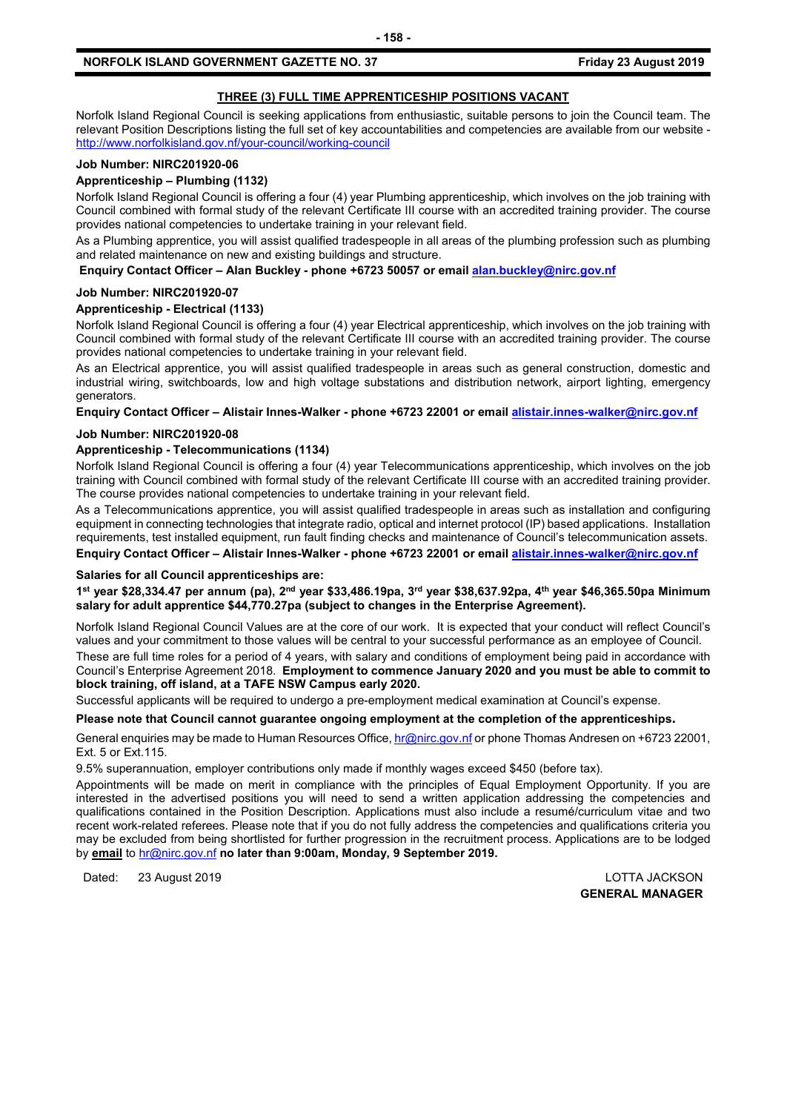# **THREE (3) FULL TIME APPRENTICESHIP POSITIONS VACANT**

Norfolk Island Regional Council is seeking applications from enthusiastic, suitable persons to join the Council team. The relevant Position Descriptions listing the full set of key accountabilities and competencies are available from our website <http://www.norfolkisland.gov.nf/your-council/working-council>

# **Job Number: NIRC201920-06**

### **Apprenticeship – Plumbing (1132)**

Norfolk Island Regional Council is offering a four (4) year Plumbing apprenticeship, which involves on the job training with Council combined with formal study of the relevant Certificate III course with an accredited training provider. The course provides national competencies to undertake training in your relevant field.

As a Plumbing apprentice, you will assist qualified tradespeople in all areas of the plumbing profession such as plumbing and related maintenance on new and existing buildings and structure.

**Enquiry Contact Officer – Alan Buckley - phone +6723 50057 or emai[l alan.buckley@nirc.gov.nf](mailto:alan.buckley@nirc.gov.nf)**

#### **Job Number: NIRC201920-07**

#### **Apprenticeship - Electrical (1133)**

Norfolk Island Regional Council is offering a four (4) year Electrical apprenticeship, which involves on the job training with Council combined with formal study of the relevant Certificate III course with an accredited training provider. The course provides national competencies to undertake training in your relevant field.

As an Electrical apprentice, you will assist qualified tradespeople in areas such as general construction, domestic and industrial wiring, switchboards, low and high voltage substations and distribution network, airport lighting, emergency generators.

**Enquiry Contact Officer – Alistair Innes-Walker - phone +6723 22001 or emai[l alistair.innes-walker@nirc.gov.nf](mailto:alistair.innes-walker@nirc.gov.nf)**

#### **Job Number: NIRC201920-08**

#### **Apprenticeship - Telecommunications (1134)**

Norfolk Island Regional Council is offering a four (4) year Telecommunications apprenticeship, which involves on the job training with Council combined with formal study of the relevant Certificate III course with an accredited training provider. The course provides national competencies to undertake training in your relevant field.

As a Telecommunications apprentice, you will assist qualified tradespeople in areas such as installation and configuring equipment in connecting technologies that integrate radio, optical and internet protocol (IP) based applications. Installation requirements, test installed equipment, run fault finding checks and maintenance of Council's telecommunication assets.

**Enquiry Contact Officer – Alistair Innes-Walker - phone +6723 22001 or emai[l alistair.innes-walker@nirc.gov.nf](mailto:alistair.innes-walker@nirc.gov.nf)**

#### **Salaries for all Council apprenticeships are:**

**1st year \$28,334.47 per annum (pa), 2nd year \$33,486.19pa, 3rd year \$38,637.92pa, 4th year \$46,365.50pa Minimum salary for adult apprentice \$44,770.27pa (subject to changes in the Enterprise Agreement).**

Norfolk Island Regional Council Values are at the core of our work. It is expected that your conduct will reflect Council's values and your commitment to those values will be central to your successful performance as an employee of Council.

These are full time roles for a period of 4 years, with salary and conditions of employment being paid in accordance with Council's Enterprise Agreement 2018. **Employment to commence January 2020 and you must be able to commit to block training, off island, at a TAFE NSW Campus early 2020.**

Successful applicants will be required to undergo a pre-employment medical examination at Council's expense.

#### **Please note that Council cannot guarantee ongoing employment at the completion of the apprenticeships.**

General enquiries may be made to Human Resources Office[, hr@nirc.gov.nf](mailto:hr@nirc.gov.nf) or phone Thomas Andresen on +6723 22001, Ext. 5 or Ext.115.

9.5% superannuation, employer contributions only made if monthly wages exceed \$450 (before tax).

Appointments will be made on merit in compliance with the principles of Equal Employment Opportunity. If you are interested in the advertised positions you will need to send a written application addressing the competencies and qualifications contained in the Position Description. Applications must also include a resumé/curriculum vitae and two recent work-related referees. Please note that if you do not fully address the competencies and qualifications criteria you may be excluded from being shortlisted for further progression in the recruitment process. Applications are to be lodged by **email** to [hr@nirc.gov.nf](mailto:hr@nirc.gov.nf) **no later than 9:00am, Monday, 9 September 2019.** 

Dated: 23 August 2019 LOTTA JACKSON

**GENERAL MANAGER**